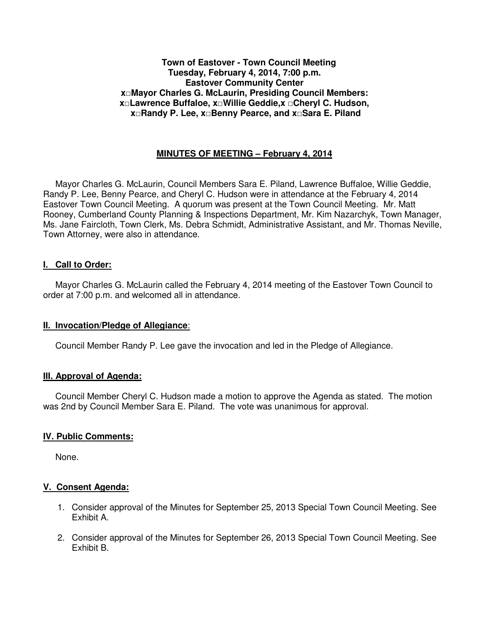### **Town of Eastover - Town Council Meeting Tuesday, February 4, 2014, 7:00 p.m. Eastover Community Center x□Mayor Charles G. McLaurin, Presiding Council Members: x□Lawrence Buffaloe, x□Willie Geddie,x □Cheryl C. Hudson, x□Randy P. Lee, x□Benny Pearce, and x□Sara E. Piland**

## **MINUTES OF MEETING – February 4, 2014**

 Mayor Charles G. McLaurin, Council Members Sara E. Piland, Lawrence Buffaloe, Willie Geddie, Randy P. Lee, Benny Pearce, and Cheryl C. Hudson were in attendance at the February 4, 2014 Eastover Town Council Meeting. A quorum was present at the Town Council Meeting. Mr. Matt Rooney, Cumberland County Planning & Inspections Department, Mr. Kim Nazarchyk, Town Manager, Ms. Jane Faircloth, Town Clerk, Ms. Debra Schmidt, Administrative Assistant, and Mr. Thomas Neville, Town Attorney, were also in attendance.

#### **I. Call to Order:**

 Mayor Charles G. McLaurin called the February 4, 2014 meeting of the Eastover Town Council to order at 7:00 p.m. and welcomed all in attendance.

#### **II. Invocation/Pledge of Allegiance**:

Council Member Randy P. Lee gave the invocation and led in the Pledge of Allegiance.

#### **III. Approval of Agenda:**

 Council Member Cheryl C. Hudson made a motion to approve the Agenda as stated. The motion was 2nd by Council Member Sara E. Piland. The vote was unanimous for approval.

#### **IV. Public Comments:**

None.

### **V. Consent Agenda:**

- 1. Consider approval of the Minutes for September 25, 2013 Special Town Council Meeting. See Exhibit A.
- 2. Consider approval of the Minutes for September 26, 2013 Special Town Council Meeting. See Exhibit B.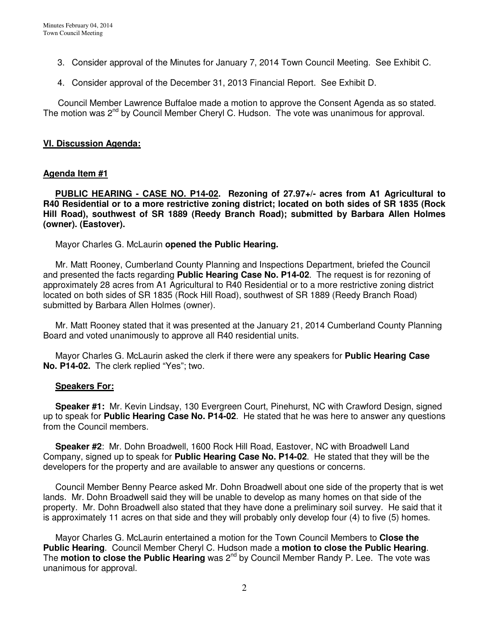- 3. Consider approval of the Minutes for January 7, 2014 Town Council Meeting. See Exhibit C.
- 4. Consider approval of the December 31, 2013 Financial Report. See Exhibit D.

 Council Member Lawrence Buffaloe made a motion to approve the Consent Agenda as so stated. The motion was  $2^{nd}$  by Council Member Cheryl C. Hudson. The vote was unanimous for approval.

### **VI. Discussion Agenda:**

### **Agenda Item #1**

 **PUBLIC HEARING - CASE NO. P14-02. Rezoning of 27.97+/- acres from A1 Agricultural to R40 Residential or to a more restrictive zoning district; located on both sides of SR 1835 (Rock Hill Road), southwest of SR 1889 (Reedy Branch Road); submitted by Barbara Allen Holmes (owner). (Eastover).** 

Mayor Charles G. McLaurin **opened the Public Hearing.** 

 Mr. Matt Rooney, Cumberland County Planning and Inspections Department, briefed the Council and presented the facts regarding **Public Hearing Case No. P14-02**. The request is for rezoning of approximately 28 acres from A1 Agricultural to R40 Residential or to a more restrictive zoning district located on both sides of SR 1835 (Rock Hill Road), southwest of SR 1889 (Reedy Branch Road) submitted by Barbara Allen Holmes (owner).

 Mr. Matt Rooney stated that it was presented at the January 21, 2014 Cumberland County Planning Board and voted unanimously to approve all R40 residential units.

 Mayor Charles G. McLaurin asked the clerk if there were any speakers for **Public Hearing Case No. P14-02.** The clerk replied "Yes"; two.

#### **Speakers For:**

 **Speaker #1:** Mr. Kevin Lindsay, 130 Evergreen Court, Pinehurst, NC with Crawford Design, signed up to speak for **Public Hearing Case No. P14-02**. He stated that he was here to answer any questions from the Council members.

 **Speaker #2**: Mr. Dohn Broadwell, 1600 Rock Hill Road, Eastover, NC with Broadwell Land Company, signed up to speak for **Public Hearing Case No. P14-02**. He stated that they will be the developers for the property and are available to answer any questions or concerns.

 Council Member Benny Pearce asked Mr. Dohn Broadwell about one side of the property that is wet lands. Mr. Dohn Broadwell said they will be unable to develop as many homes on that side of the property. Mr. Dohn Broadwell also stated that they have done a preliminary soil survey. He said that it is approximately 11 acres on that side and they will probably only develop four (4) to five (5) homes.

 Mayor Charles G. McLaurin entertained a motion for the Town Council Members to **Close the Public Hearing**. Council Member Cheryl C. Hudson made a **motion to close the Public Hearing**. The **motion to close the Public Hearing** was 2<sup>nd</sup> by Council Member Randy P. Lee. The vote was unanimous for approval.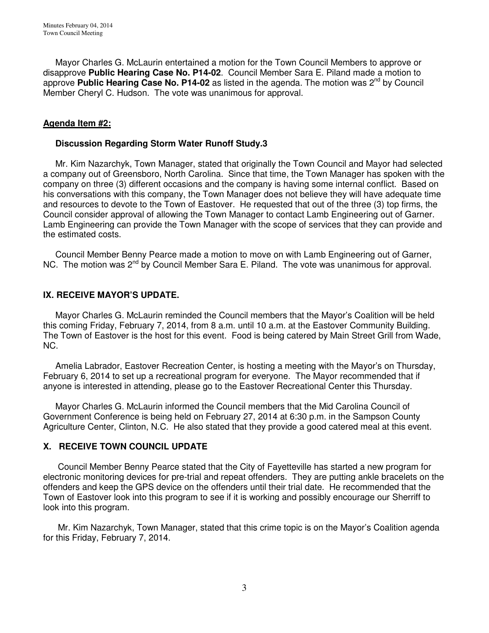Mayor Charles G. McLaurin entertained a motion for the Town Council Members to approve or disapprove **Public Hearing Case No. P14-02**. Council Member Sara E. Piland made a motion to approve **Public Hearing Case No. P14-02** as listed in the agenda. The motion was 2<sup>nd</sup> by Council Member Cheryl C. Hudson. The vote was unanimous for approval.

## **Agenda Item #2:**

### **Discussion Regarding Storm Water Runoff Study.3**

 Mr. Kim Nazarchyk, Town Manager, stated that originally the Town Council and Mayor had selected a company out of Greensboro, North Carolina. Since that time, the Town Manager has spoken with the company on three (3) different occasions and the company is having some internal conflict. Based on his conversations with this company, the Town Manager does not believe they will have adequate time and resources to devote to the Town of Eastover. He requested that out of the three (3) top firms, the Council consider approval of allowing the Town Manager to contact Lamb Engineering out of Garner. Lamb Engineering can provide the Town Manager with the scope of services that they can provide and the estimated costs.

 Council Member Benny Pearce made a motion to move on with Lamb Engineering out of Garner, NC. The motion was 2<sup>nd</sup> by Council Member Sara E. Piland. The vote was unanimous for approval.

## **IX. RECEIVE MAYOR'S UPDATE.**

 Mayor Charles G. McLaurin reminded the Council members that the Mayor's Coalition will be held this coming Friday, February 7, 2014, from 8 a.m. until 10 a.m. at the Eastover Community Building. The Town of Eastover is the host for this event. Food is being catered by Main Street Grill from Wade, NC.

 Amelia Labrador, Eastover Recreation Center, is hosting a meeting with the Mayor's on Thursday, February 6, 2014 to set up a recreational program for everyone. The Mayor recommended that if anyone is interested in attending, please go to the Eastover Recreational Center this Thursday.

 Mayor Charles G. McLaurin informed the Council members that the Mid Carolina Council of Government Conference is being held on February 27, 2014 at 6:30 p.m. in the Sampson County Agriculture Center, Clinton, N.C. He also stated that they provide a good catered meal at this event.

## **X. RECEIVE TOWN COUNCIL UPDATE**

 Council Member Benny Pearce stated that the City of Fayetteville has started a new program for electronic monitoring devices for pre-trial and repeat offenders. They are putting ankle bracelets on the offenders and keep the GPS device on the offenders until their trial date. He recommended that the Town of Eastover look into this program to see if it is working and possibly encourage our Sherriff to look into this program.

 Mr. Kim Nazarchyk, Town Manager, stated that this crime topic is on the Mayor's Coalition agenda for this Friday, February 7, 2014.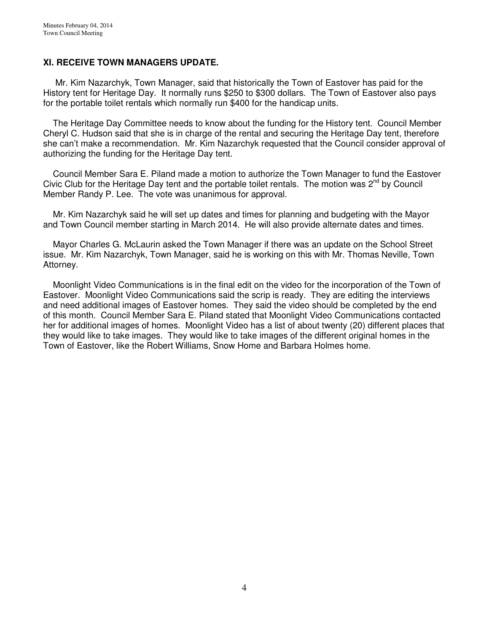## **XI. RECEIVE TOWN MANAGERS UPDATE.**

 Mr. Kim Nazarchyk, Town Manager, said that historically the Town of Eastover has paid for the History tent for Heritage Day. It normally runs \$250 to \$300 dollars. The Town of Eastover also pays for the portable toilet rentals which normally run \$400 for the handicap units.

 The Heritage Day Committee needs to know about the funding for the History tent. Council Member Cheryl C. Hudson said that she is in charge of the rental and securing the Heritage Day tent, therefore she can't make a recommendation. Mr. Kim Nazarchyk requested that the Council consider approval of authorizing the funding for the Heritage Day tent.

 Council Member Sara E. Piland made a motion to authorize the Town Manager to fund the Eastover Civic Club for the Heritage Day tent and the portable toilet rentals. The motion was 2<sup>nd</sup> by Council Member Randy P. Lee. The vote was unanimous for approval.

 Mr. Kim Nazarchyk said he will set up dates and times for planning and budgeting with the Mayor and Town Council member starting in March 2014. He will also provide alternate dates and times.

 Mayor Charles G. McLaurin asked the Town Manager if there was an update on the School Street issue. Mr. Kim Nazarchyk, Town Manager, said he is working on this with Mr. Thomas Neville, Town Attorney.

 Moonlight Video Communications is in the final edit on the video for the incorporation of the Town of Eastover. Moonlight Video Communications said the scrip is ready. They are editing the interviews and need additional images of Eastover homes. They said the video should be completed by the end of this month. Council Member Sara E. Piland stated that Moonlight Video Communications contacted her for additional images of homes. Moonlight Video has a list of about twenty (20) different places that they would like to take images. They would like to take images of the different original homes in the Town of Eastover, like the Robert Williams, Snow Home and Barbara Holmes home.